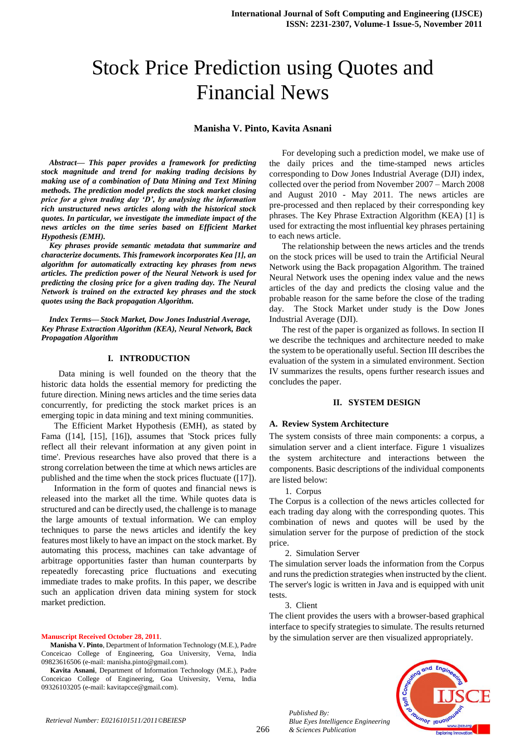# Stock Price Prediction using Quotes and Financial News

# **Manisha V. Pinto, Kavita Asnani**

*Abstract— This paper provides a framework for predicting stock magnitude and trend for making trading decisions by making use of a combination of Data Mining and Text Mining methods. The prediction model predicts the stock market closing price for a given trading day 'D', by analysing the information rich unstructured news articles along with the historical stock quotes. In particular, we investigate the immediate impact of the news articles on the time series based on Efficient Market Hypothesis (EMH).* 

*Key phrases provide semantic metadata that summarize and characterize documents. This framework incorporates Kea [1], an algorithm for automatically extracting key phrases from news articles. The prediction power of the Neural Network is used for predicting the closing price for a given trading day. The Neural Network is trained on the extracted key phrases and the stock quotes using the Back propagation Algorithm.*

*Index Terms— Stock Market, Dow Jones Industrial Average, Key Phrase Extraction Algorithm (KEA), Neural Network, Back Propagation Algorithm*

# **I. INTRODUCTION**

 Data mining is well founded on the theory that the historic data holds the essential memory for predicting the future direction. Mining news articles and the time series data concurrently, for predicting the stock market prices is an emerging topic in data mining and text mining communities.

The Efficient Market Hypothesis (EMH), as stated by Fama ([14], [15], [16]), assumes that 'Stock prices fully reflect all their relevant information at any given point in time'. Previous researches have also proved that there is a strong correlation between the time at which news articles are published and the time when the stock prices fluctuate ([17]).

Information in the form of quotes and financial news is released into the market all the time. While quotes data is structured and can be directly used, the challenge is to manage the large amounts of textual information. We can employ techniques to parse the news articles and identify the key features most likely to have an impact on the stock market. By automating this process, machines can take advantage of arbitrage opportunities faster than human counterparts by repeatedly forecasting price fluctuations and executing immediate trades to make profits. In this paper, we describe such an application driven data mining system for stock market prediction.

#### **Manuscript Received October 28, 2011**.

**Manisha V. Pinto**, Department of Information Technology (M.E.), Padre Conceicao College of Engineering, Goa University, Verna, India 09823616506 (e-mail: manisha.pinto@gmail.com).

**Kavita Asnani**, Department of Information Technology (M.E.), Padre Conceicao College of Engineering, Goa University, Verna, India 09326103205 (e-mail: kavitapcce@gmail.com).

For developing such a prediction model, we make use of the daily prices and the time-stamped news articles corresponding to Dow Jones Industrial Average (DJI) index, collected over the period from November 2007 – March 2008 and August 2010 - May 2011. The news articles are pre-processed and then replaced by their corresponding key phrases. The Key Phrase Extraction Algorithm (KEA) [1] is used for extracting the most influential key phrases pertaining to each news article.

The relationship between the news articles and the trends on the stock prices will be used to train the Artificial Neural Network using the Back propagation Algorithm. The trained Neural Network uses the opening index value and the news articles of the day and predicts the closing value and the probable reason for the same before the close of the trading day. The Stock Market under study is the Dow Jones Industrial Average (DJI).

The rest of the paper is organized as follows. In section II we describe the techniques and architecture needed to make the system to be operationally useful. Section III describes the evaluation of the system in a simulated environment. Section IV summarizes the results, opens further research issues and concludes the paper.

# **II. SYSTEM DESIGN**

#### **A. Review System Architecture**

The system consists of three main components: a corpus, a simulation server and a client interface. Figure 1 visualizes the system architecture and interactions between the components. Basic descriptions of the individual components are listed below:

1. Corpus

The Corpus is a collection of the news articles collected for each trading day along with the corresponding quotes. This combination of news and quotes will be used by the simulation server for the purpose of prediction of the stock price.

2. Simulation Server

The simulation server loads the information from the Corpus and runs the prediction strategies when instructed by the client. The server's logic is written in Java and is equipped with unit tests.

3. Client

The client provides the users with a browser-based graphical interface to specify strategies to simulate. The results returned by the simulation server are then visualized appropriately.



*Published By: Blue Eyes Intelligence Engineering & Sciences Publication*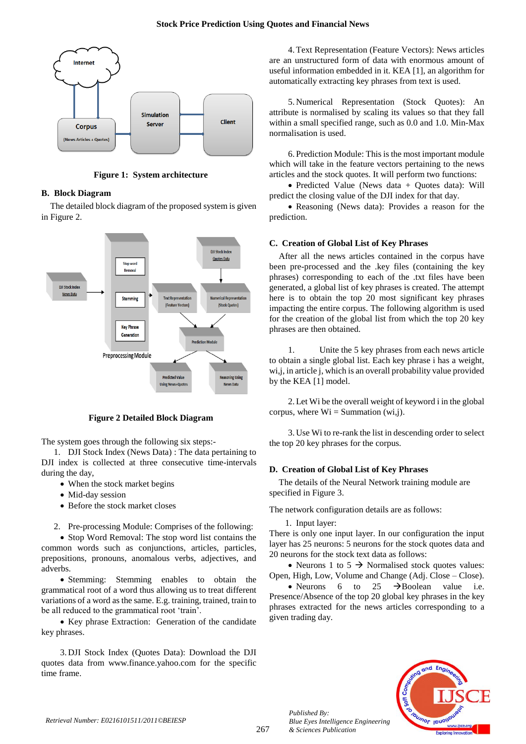

**Figure 1: System architecture**

# **B. Block Diagram**

The detailed block diagram of the proposed system is given in Figure 2.



**Figure 2 Detailed Block Diagram**

The system goes through the following six steps:-

1. DJI Stock Index (News Data) : The data pertaining to DJI index is collected at three consecutive time-intervals during the day,

- When the stock market begins
- Mid-day session
- Before the stock market closes
- 2. Pre-processing Module: Comprises of the following:

• Stop Word Removal: The stop word list contains the common words such as conjunctions, articles, particles, prepositions, pronouns, anomalous verbs, adjectives, and adverbs.

• Stemming: Stemming enables to obtain the grammatical root of a word thus allowing us to treat different variations of a word as the same. E.g. training, trained, train to be all reduced to the grammatical root 'train'.

• Key phrase Extraction: Generation of the candidate key phrases.

3.DJI Stock Index (Quotes Data): Download the DJI quotes data from [www.finance.yahoo.com](http://www.finance.yahoo.com/) for the specific time frame.

4.Text Representation (Feature Vectors): News articles are an unstructured form of data with enormous amount of useful information embedded in it. KEA [1], an algorithm for automatically extracting key phrases from text is used.

5.Numerical Representation (Stock Quotes): An attribute is normalised by scaling its values so that they fall within a small specified range, such as 0.0 and 1.0. Min-Max normalisation is used.

6.Prediction Module: This is the most important module which will take in the feature vectors pertaining to the news articles and the stock quotes. It will perform two functions:

 Predicted Value (News data + Quotes data): Will predict the closing value of the DJI index for that day.

 Reasoning (News data): Provides a reason for the prediction.

# **C. Creation of Global List of Key Phrases**

After all the news articles contained in the corpus have been pre-processed and the .key files (containing the key phrases) corresponding to each of the .txt files have been generated, a global list of key phrases is created. The attempt here is to obtain the top 20 most significant key phrases impacting the entire corpus. The following algorithm is used for the creation of the global list from which the top 20 key phrases are then obtained.

1. Unite the 5 key phrases from each news article to obtain a single global list. Each key phrase i has a weight, wi,j, in article j, which is an overall probability value provided by the KEA [1] model.

2.Let Wi be the overall weight of keyword i in the global corpus, where  $Wi = Summation (wi,j)$ .

3.Use Wi to re-rank the list in descending order to select the top 20 key phrases for the corpus.

# **D. Creation of Global List of Key Phrases**

The details of the Neural Network training module are specified in Figure 3.

The network configuration details are as follows:

1. Input layer:

*Published By:*

There is only one input layer. In our configuration the input layer has 25 neurons: 5 neurons for the stock quotes data and 20 neurons for the stock text data as follows:

• Neurons 1 to 5  $\rightarrow$  Normalised stock quotes values: Open, High, Low, Volume and Change (Adj. Close – Close).

• Neurons 6 to 25  $\rightarrow$  Boolean value i.e. Presence/Absence of the top 20 global key phrases in the key phrases extracted for the news articles corresponding to a given trading day.

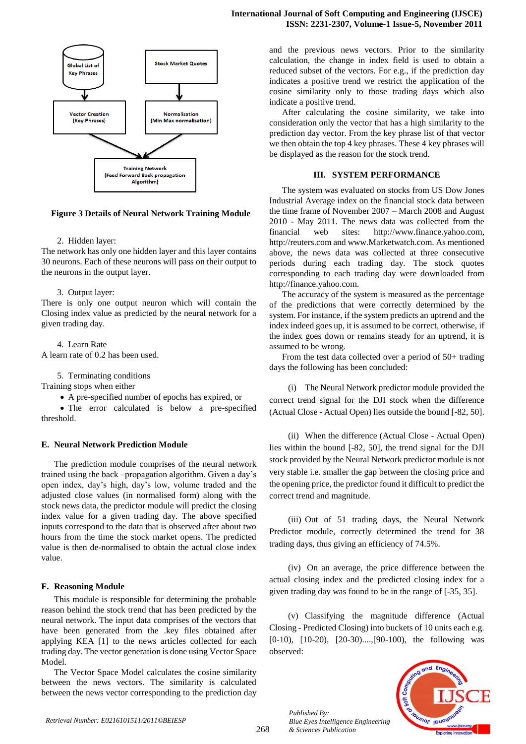



#### **Figure 3 Details of Neural Network Training Module**

#### 2. Hidden layer:

The network has only one hidden layer and this layer contains 30 neurons. Each of these neurons will pass on their output to the neurons in the output layer.

#### 3. Output layer:

There is only one output neuron which will contain the Closing index value as predicted by the neural network for a given trading day.

4. Learn Rate A learn rate of 0.2 has been used.

5. Terminating conditions

Training stops when either

A pre-specified number of epochs has expired, or

 The error calculated is below a pre-specified threshold.

## **E. Neural Network Prediction Module**

The prediction module comprises of the neural network trained using the back –propagation algorithm. Given a day's open index, day's high, day's low, volume traded and the adjusted close values (in normalised form) along with the stock news data, the predictor module will predict the closing index value for a given trading day. The above specified inputs correspond to the data that is observed after about two hours from the time the stock market opens. The predicted value is then de-normalised to obtain the actual close index value.

# **F. Reasoning Module**

This module is responsible for determining the probable reason behind the stock trend that has been predicted by the neural network. The input data comprises of the vectors that have been generated from the .key files obtained after applying KEA [1] to the news articles collected for each trading day. The vector generation is done using Vector Space Model.

The Vector Space Model calculates the cosine similarity between the news vectors. The similarity is calculated between the news vector corresponding to the prediction day and the previous news vectors. Prior to the similarity calculation, the change in index field is used to obtain a reduced subset of the vectors. For e.g., if the prediction day indicates a positive trend we restrict the application of the cosine similarity only to those trading days which also indicate a positive trend.

After calculating the cosine similarity, we take into consideration only the vector that has a high similarity to the prediction day vector. From the key phrase list of that vector we then obtain the top 4 key phrases. These 4 key phrases will be displayed as the reason for the stock trend.

## **III. SYSTEM PERFORMANCE**

The system was evaluated on stocks from US Dow Jones Industrial Average index on the financial stock data between the time frame of November 2007 – March 2008 and August 2010 - May 2011. The news data was collected from the financial web sites: http:/[/www.finance.yahoo.com,](http://www.finance.yahoo.com/) [http://reuters.com](http://reuters.com/) and [www.Marketwatch.com.](http://www.marketwatch.com/) As mentioned above, the news data was collected at three consecutive periods during each trading day. The stock quotes corresponding to each trading day were downloaded from [http://finance.yahoo.com.](http://finance.yahoo.com/)

The accuracy of the system is measured as the percentage of the predictions that were correctly determined by the system. For instance, if the system predicts an uptrend and the index indeed goes up, it is assumed to be correct, otherwise, if the index goes down or remains steady for an uptrend, it is assumed to be wrong.

From the test data collected over a period of 50+ trading days the following has been concluded:

(i) The Neural Network predictor module provided the correct trend signal for the DJI stock when the difference (Actual Close - Actual Open) lies outside the bound [-82, 50].

(ii) When the difference (Actual Close - Actual Open) lies within the bound [-82, 50], the trend signal for the DJI stock provided by the Neural Network predictor module is not very stable i.e. smaller the gap between the closing price and the opening price, the predictor found it difficult to predict the correct trend and magnitude.

(iii) Out of 51 trading days, the Neural Network Predictor module, correctly determined the trend for 38 trading days, thus giving an efficiency of 74.5%.

(iv) On an average, the price difference between the actual closing index and the predicted closing index for a given trading day was found to be in the range of [-35, 35].

(v) Classifying the magnitude difference (Actual Closing - Predicted Closing) into buckets of 10 units each e.g. [0-10), [10-20), [20-30)....,[90-100), the following was observed:



*Published By: Blue Eyes Intelligence Engineering & Sciences Publication*